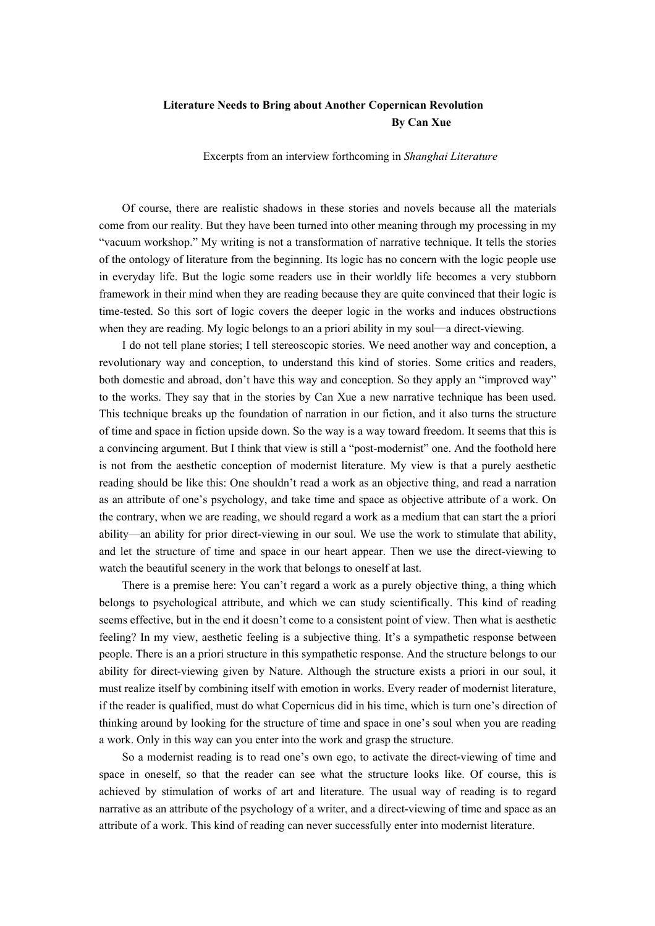## **Literature Needs to Bring about Another Copernican Revolution By Can Xue**

Excerpts from an interview forthcoming in *Shanghai Literature*

Of course, there are realistic shadows in these stories and novels because all the materials come from our reality. But they have been turned into other meaning through my processing in my "vacuum workshop." My writing is not a transformation of narrative technique. It tells the stories of the ontology of literature from the beginning. Its logic has no concern with the logic people use in everyday life. But the logic some readers use in their worldly life becomes a very stubborn framework in their mind when they are reading because they are quite convinced that their logic is time-tested. So this sort of logic covers the deeper logic in the works and induces obstructions when they are reading. My logic belongs to an a priori ability in my soul—a direct-viewing.

I do not tell plane stories; I tell stereoscopic stories. We need another way and conception, a revolutionary way and conception, to understand this kind of stories. Some critics and readers, both domestic and abroad, don't have this way and conception. So they apply an "improved way" to the works. They say that in the stories by Can Xue a new narrative technique has been used. This technique breaks up the foundation of narration in our fiction, and it also turns the structure of time and space in fiction upside down. So the way is a way toward freedom. It seems that this is a convincing argument. But I think that view is still a "post-modernist" one. And the foothold here is not from the aesthetic conception of modernist literature. My view is that a purely aesthetic reading should be like this: One shouldn't read a work as an objective thing, and read a narration as an attribute of one's psychology, and take time and space as objective attribute of a work. On the contrary, when we are reading, we should regard a work as a medium that can start the a priori ability—an ability for prior direct-viewing in our soul. We use the work to stimulate that ability, and let the structure of time and space in our heart appear. Then we use the direct-viewing to watch the beautiful scenery in the work that belongs to oneself at last.

There is a premise here: You can't regard a work as a purely objective thing, a thing which belongs to psychological attribute, and which we can study scientifically. This kind of reading seems effective, but in the end it doesn't come to a consistent point of view. Then what is aesthetic feeling? In my view, aesthetic feeling is a subjective thing. It's a sympathetic response between people. There is an a priori structure in this sympathetic response. And the structure belongs to our ability for direct-viewing given by Nature. Although the structure exists a priori in our soul, it must realize itself by combining itself with emotion in works. Every reader of modernist literature, if the reader is qualified, must do what Copernicus did in his time, which is turn one's direction of thinking around by looking for the structure of time and space in one's soul when you are reading a work. Only in this way can you enter into the work and grasp the structure.

So a modernist reading is to read one's own ego, to activate the direct-viewing of time and space in oneself, so that the reader can see what the structure looks like. Of course, this is achieved by stimulation of works of art and literature. The usual way of reading is to regard narrative as an attribute of the psychology of a writer, and a direct-viewing of time and space as an attribute of a work. This kind of reading can never successfully enter into modernist literature.